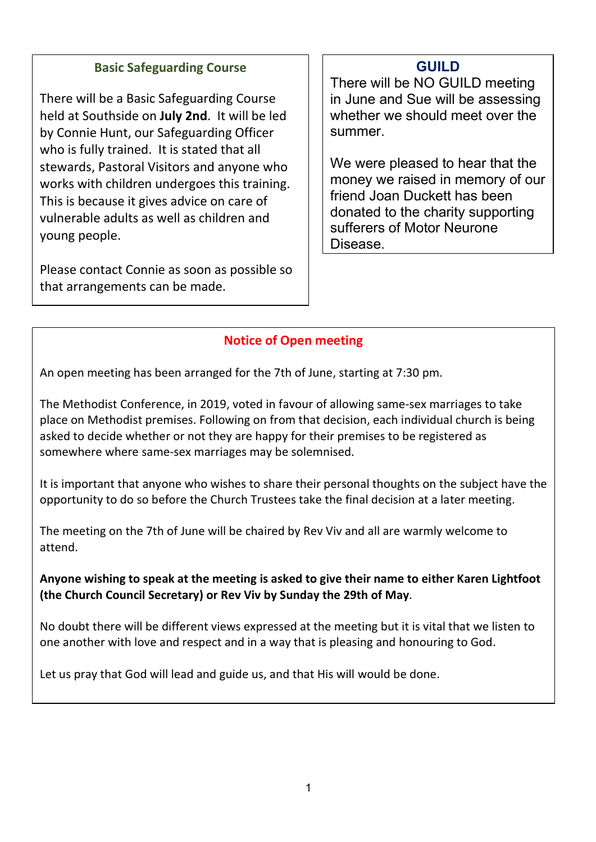## Basic Safeguarding Course

There will be a Basic Safeguarding Course held at Southside on July 2nd. It will be led by Connie Hunt, our Safeguarding Officer who is fully trained. It is stated that all stewards, Pastoral Visitors and anyone who works with children undergoes this training. This is because it gives advice on care of vulnerable adults as well as children and young people.

Please contact Connie as soon as possible so that arrangements can be made.

# GUILD

There will be NO GUILD meeting in June and Sue will be assessing whether we should meet over the summer.

We were pleased to hear that the money we raised in memory of our friend Joan Duckett has been donated to the charity supporting sufferers of Motor Neurone Disease.

# Notice of Open meeting

An open meeting has been arranged for the 7th of June, starting at 7:30 pm.

The Methodist Conference, in 2019, voted in favour of allowing same-sex marriages to take place on Methodist premises. Following on from that decision, each individual church is being asked to decide whether or not they are happy for their premises to be registered as somewhere where same-sex marriages may be solemnised.

It is important that anyone who wishes to share their personal thoughts on the subject have the opportunity to do so before the Church Trustees take the final decision at a later meeting.

The meeting on the 7th of June will be chaired by Rev Viv and all are warmly welcome to attend.

Anyone wishing to speak at the meeting is asked to give their name to either Karen Lightfoot (the Church Council Secretary) or Rev Viv by Sunday the 29th of May.

No doubt there will be different views expressed at the meeting but it is vital that we listen to one another with love and respect and in a way that is pleasing and honouring to God.

Let us pray that God will lead and guide us, and that His will would be done.